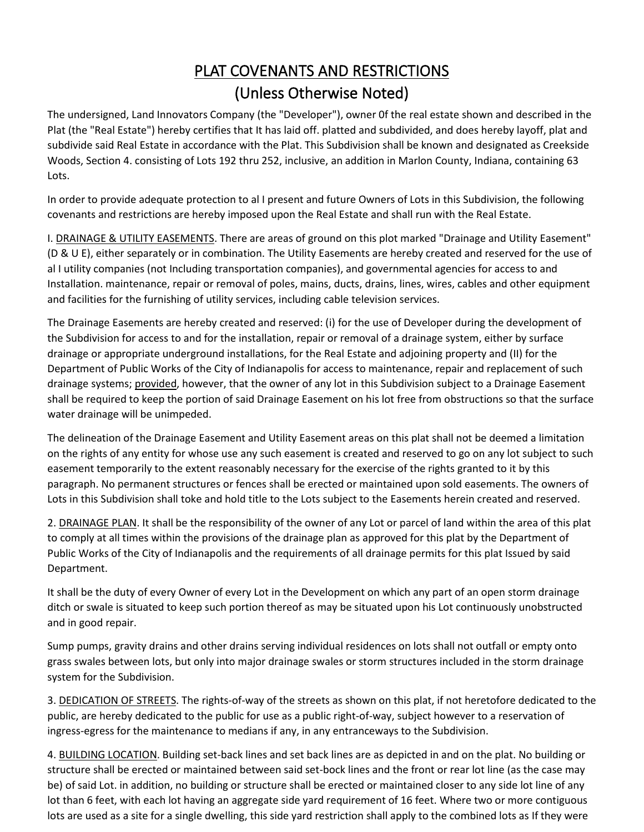## PLAT COVENANTS AND RESTRICTIONS (Unless Otherwise Noted)

The undersigned, Land Innovators Company (the "Developer"), owner 0f the real estate shown and described in the Plat (the "Real Estate") hereby certifies that It has laid off. platted and subdivided, and does hereby layoff, plat and subdivide said Real Estate in accordance with the Plat. This Subdivision shall be known and designated as Creekside Woods, Section 4. consisting of Lots 192 thru 252, inclusive, an addition in Marlon County, Indiana, containing 63 Lots.

In order to provide adequate protection to al I present and future Owners of Lots in this Subdivision, the following covenants and restrictions are hereby imposed upon the Real Estate and shall run with the Real Estate.

I. DRAINAGE & UTILITY EASEMENTS. There are areas of ground on this plot marked "Drainage and Utility Easement" (D & U E), either separately or in combination. The Utility Easements are hereby created and reserved for the use of al I utility companies (not Including transportation companies), and governmental agencies for access to and Installation. maintenance, repair or removal of poles, mains, ducts, drains, lines, wires, cables and other equipment and facilities for the furnishing of utility services, including cable television services.

The Drainage Easements are hereby created and reserved: (i) for the use of Developer during the development of the Subdivision for access to and for the installation, repair or removal of a drainage system, either by surface drainage or appropriate underground installations, for the Real Estate and adjoining property and (II) for the Department of Public Works of the City of Indianapolis for access to maintenance, repair and replacement of such drainage systems; provided, however, that the owner of any lot in this Subdivision subject to a Drainage Easement shall be required to keep the portion of said Drainage Easement on his lot free from obstructions so that the surface water drainage will be unimpeded.

The delineation of the Drainage Easement and Utility Easement areas on this plat shall not be deemed a limitation on the rights of any entity for whose use any such easement is created and reserved to go on any lot subject to such easement temporarily to the extent reasonably necessary for the exercise of the rights granted to it by this paragraph. No permanent structures or fences shall be erected or maintained upon sold easements. The owners of Lots in this Subdivision shall toke and hold title to the Lots subject to the Easements herein created and reserved.

2. DRAINAGE PLAN. It shall be the responsibility of the owner of any Lot or parcel of land within the area of this plat to comply at all times within the provisions of the drainage plan as approved for this plat by the Department of Public Works of the City of Indianapolis and the requirements of all drainage permits for this plat Issued by said Department.

It shall be the duty of every Owner of every Lot in the Development on which any part of an open storm drainage ditch or swale is situated to keep such portion thereof as may be situated upon his Lot continuously unobstructed and in good repair.

Sump pumps, gravity drains and other drains serving individual residences on lots shall not outfall or empty onto grass swales between lots, but only into major drainage swales or storm structures included in the storm drainage system for the Subdivision.

3. DEDICATION OF STREETS. The rights-of-way of the streets as shown on this plat, if not heretofore dedicated to the public, are hereby dedicated to the public for use as a public right-of-way, subject however to a reservation of ingress-egress for the maintenance to medians if any, in any entranceways to the Subdivision.

4. BUILDING LOCATION. Building set-back lines and set back lines are as depicted in and on the plat. No building or structure shall be erected or maintained between said set-bock lines and the front or rear lot line (as the case may be) of said Lot. in addition, no building or structure shall be erected or maintained closer to any side lot line of any lot than 6 feet, with each lot having an aggregate side yard requirement of 16 feet. Where two or more contiguous lots are used as a site for a single dwelling, this side yard restriction shall apply to the combined lots as If they were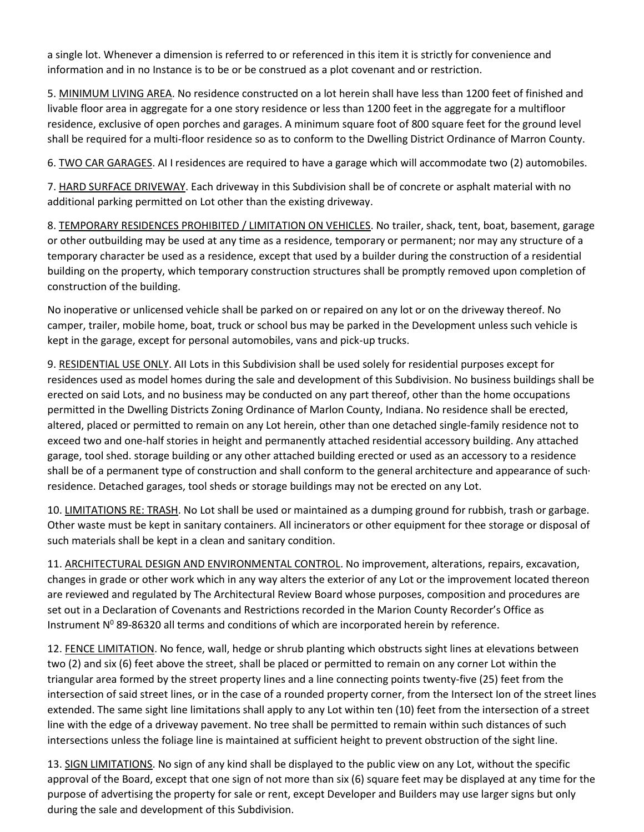a single lot. Whenever a dimension is referred to or referenced in this item it is strictly for convenience and information and in no Instance is to be or be construed as a plot covenant and or restriction.

5. MINIMUM LIVING AREA. No residence constructed on a lot herein shall have less than 1200 feet of finished and livable floor area in aggregate for a one story residence or less than 1200 feet in the aggregate for a multifloor residence, exclusive of open porches and garages. A minimum square foot of 800 square feet for the ground level shall be required for a multi-floor residence so as to conform to the Dwelling District Ordinance of Marron County.

6. TWO CAR GARAGES. AI I residences are required to have a garage which will accommodate two (2) automobiles.

7. HARD SURFACE DRIVEWAY. Each driveway in this Subdivision shall be of concrete or asphalt material with no additional parking permitted on Lot other than the existing driveway.

8. TEMPORARY RESIDENCES PROHIBITED / LIMITATION ON VEHICLES. No trailer, shack, tent, boat, basement, garage or other outbuilding may be used at any time as a residence, temporary or permanent; nor may any structure of a temporary character be used as a residence, except that used by a builder during the construction of a residential building on the property, which temporary construction structures shall be promptly removed upon completion of construction of the building.

No inoperative or unlicensed vehicle shall be parked on or repaired on any lot or on the driveway thereof. No camper, trailer, mobile home, boat, truck or school bus may be parked in the Development unless such vehicle is kept in the garage, except for personal automobiles, vans and pick-up trucks.

9. RESIDENTIAL USE ONLY. All Lots in this Subdivision shall be used solely for residential purposes except for residences used as model homes during the sale and development of this Subdivision. No business buildings shall be erected on said Lots, and no business may be conducted on any part thereof, other than the home occupations permitted in the Dwelling Districts Zoning Ordinance of Marlon County, Indiana. No residence shall be erected, altered, placed or permitted to remain on any Lot herein, other than one detached single-family residence not to exceed two and one-half stories in height and permanently attached residential accessory building. Any attached garage, tool shed. storage building or any other attached building erected or used as an accessory to a residence shall be of a permanent type of construction and shall conform to the general architecture and appearance of such· residence. Detached garages, tool sheds or storage buildings may not be erected on any Lot.

10. LIMITATIONS RE: TRASH. No Lot shall be used or maintained as a dumping ground for rubbish, trash or garbage. Other waste must be kept in sanitary containers. All incinerators or other equipment for thee storage or disposal of such materials shall be kept in a clean and sanitary condition.

11. ARCHITECTURAL DESIGN AND ENVIRONMENTAL CONTROL. No improvement, alterations, repairs, excavation, changes in grade or other work which in any way alters the exterior of any Lot or the improvement located thereon are reviewed and regulated by The Architectural Review Board whose purposes, composition and procedures are set out in a Declaration of Covenants and Restrictions recorded in the Marion County Recorder's Office as Instrument  $N^0$  89-86320 all terms and conditions of which are incorporated herein by reference.

12. FENCE LIMITATION. No fence, wall, hedge or shrub planting which obstructs sight lines at elevations between two (2) and six (6) feet above the street, shall be placed or permitted to remain on any corner Lot within the triangular area formed by the street property lines and a line connecting points twenty-five (25) feet from the intersection of said street lines, or in the case of a rounded property corner, from the Intersect Ion of the street lines extended. The same sight line limitations shall apply to any Lot within ten (10) feet from the intersection of a street line with the edge of a driveway pavement. No tree shall be permitted to remain within such distances of such intersections unless the foliage line is maintained at sufficient height to prevent obstruction of the sight line.

13. SIGN LIMITATIONS. No sign of any kind shall be displayed to the public view on any Lot, without the specific approval of the Board, except that one sign of not more than six (6) square feet may be displayed at any time for the purpose of advertising the property for sale or rent, except Developer and Builders may use larger signs but only during the sale and development of this Subdivision.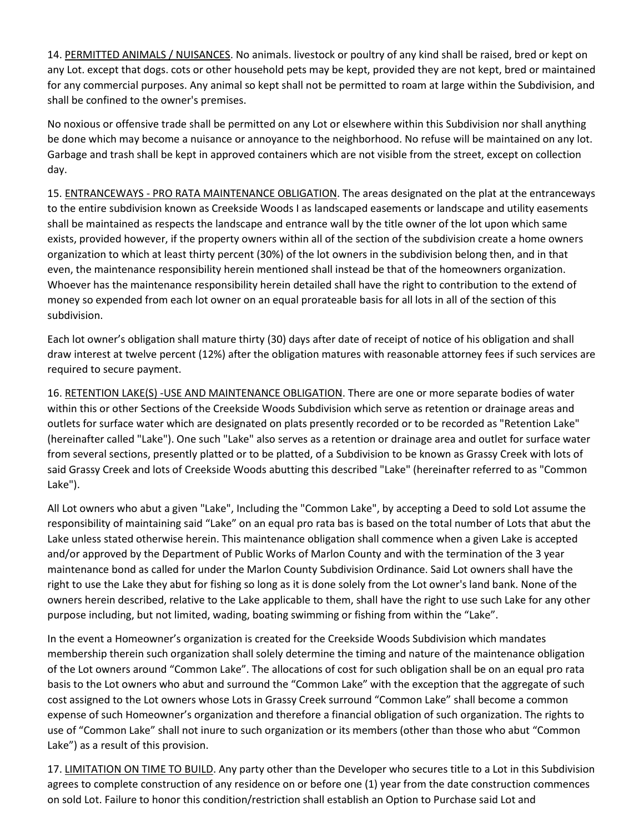14. PERMITTED ANIMALS / NUISANCES. No animals. livestock or poultry of any kind shall be raised, bred or kept on any Lot. except that dogs. cots or other household pets may be kept, provided they are not kept, bred or maintained for any commercial purposes. Any animal so kept shall not be permitted to roam at large within the Subdivision, and shall be confined to the owner's premises.

No noxious or offensive trade shall be permitted on any Lot or elsewhere within this Subdivision nor shall anything be done which may become a nuisance or annoyance to the neighborhood. No refuse will be maintained on any lot. Garbage and trash shall be kept in approved containers which are not visible from the street, except on collection day.

15. ENTRANCEWAYS - PRO RATA MAINTENANCE OBLIGATION. The areas designated on the plat at the entranceways to the entire subdivision known as Creekside Woods I as landscaped easements or landscape and utility easements shall be maintained as respects the landscape and entrance wall by the title owner of the lot upon which same exists, provided however, if the property owners within all of the section of the subdivision create a home owners organization to which at least thirty percent (30%) of the lot owners in the subdivision belong then, and in that even, the maintenance responsibility herein mentioned shall instead be that of the homeowners organization. Whoever has the maintenance responsibility herein detailed shall have the right to contribution to the extend of money so expended from each lot owner on an equal prorateable basis for all lots in all of the section of this subdivision.

Each lot owner's obligation shall mature thirty (30) days after date of receipt of notice of his obligation and shall draw interest at twelve percent (12%) after the obligation matures with reasonable attorney fees if such services are required to secure payment.

16. RETENTION LAKE(S) -USE AND MAINTENANCE OBLIGATION. There are one or more separate bodies of water within this or other Sections of the Creekside Woods Subdivision which serve as retention or drainage areas and outlets for surface water which are designated on plats presently recorded or to be recorded as "Retention Lake" (hereinafter called "Lake"). One such "Lake" also serves as a retention or drainage area and outlet for surface water from several sections, presently platted or to be platted, of a Subdivision to be known as Grassy Creek with lots of said Grassy Creek and lots of Creekside Woods abutting this described "Lake" (hereinafter referred to as "Common Lake").

All Lot owners who abut a given "Lake", Including the "Common Lake", by accepting a Deed to sold Lot assume the responsibility of maintaining said "Lake" on an equal pro rata bas is based on the total number of Lots that abut the Lake unless stated otherwise herein. This maintenance obligation shall commence when a given Lake is accepted and/or approved by the Department of Public Works of Marlon County and with the termination of the 3 year maintenance bond as called for under the Marlon County Subdivision Ordinance. Said Lot owners shall have the right to use the Lake they abut for fishing so long as it is done solely from the Lot owner's land bank. None of the owners herein described, relative to the Lake applicable to them, shall have the right to use such Lake for any other purpose including, but not limited, wading, boating swimming or fishing from within the "Lake".

In the event a Homeowner's organization is created for the Creekside Woods Subdivision which mandates membership therein such organization shall solely determine the timing and nature of the maintenance obligation of the Lot owners around "Common Lake". The allocations of cost for such obligation shall be on an equal pro rata basis to the Lot owners who abut and surround the "Common Lake" with the exception that the aggregate of such cost assigned to the Lot owners whose Lots in Grassy Creek surround "Common Lake" shall become a common expense of such Homeowner's organization and therefore a financial obligation of such organization. The rights to use of "Common Lake" shall not inure to such organization or its members (other than those who abut "Common Lake") as a result of this provision.

17. LIMITATION ON TIME TO BUILD. Any party other than the Developer who secures title to a Lot in this Subdivision agrees to complete construction of any residence on or before one (1) year from the date construction commences on sold Lot. Failure to honor this condition/restriction shall establish an Option to Purchase said Lot and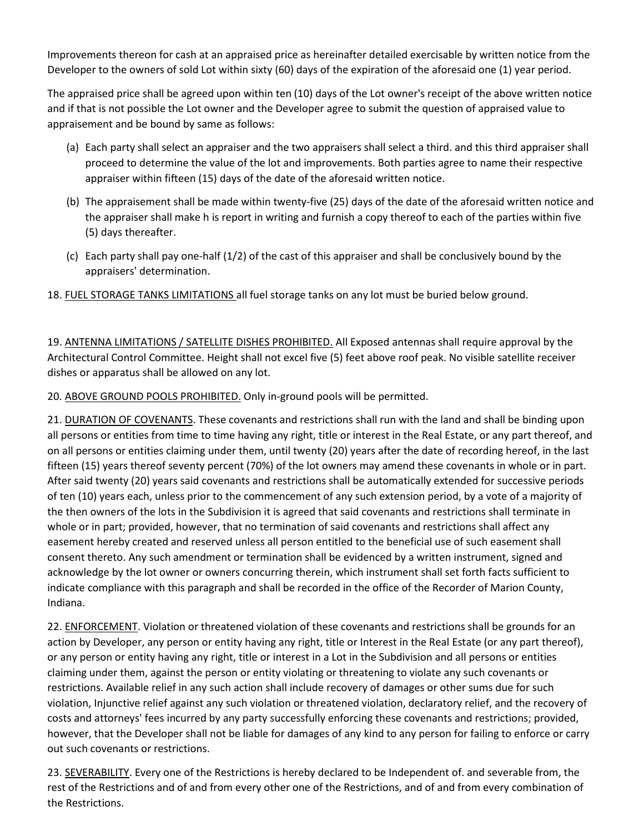Improvements thereon for cash at an appraised price as hereinafter detailed exercisable by written notice from the Developer to the owners of sold Lot within sixty (60) days of the expiration of the aforesaid one (1) year period.

The appraised price shall be agreed upon within ten (10) days of the Lot owner's receipt of the above written notice and if that is not possible the Lot owner and the Developer agree to submit the question of appraised value to appraisement and be bound by same as follows:

- (a) Each party shall select an appraiser and the two appraisers shall select a third. and this third appraiser shall proceed to determine the value of the lot and improvements. Both parties agree to name their respective appraiser within fifteen (15) days of the date of the aforesaid written notice.
- (b) The appraisement shall be made within twenty-five (25) days of the date of the aforesaid written notice and the appraiser shall make h is report in writing and furnish a copy thereof to each of the parties within five (5) days thereafter.
- (c) Each party shall pay one-half (1/2) of the cast of this appraiser and shall be conclusively bound by the appraisers' determination.
- 18. FUEL STORAGE TANKS LIMITATIONS all fuel storage tanks on any lot must be buried below ground.

19. ANTENNA LIMITATIONS / SATELLITE DISHES PROHIBITED. All Exposed antennas shall require approval by the Architectural Control Committee. Height shall not excel five (5) feet above roof peak. No visible satellite receiver dishes or apparatus shall be allowed on any lot.

20. ABOVE GROUND POOLS PROHIBITED. Only in-ground pools will be permitted.

21. DURATION OF COVENANTS. These covenants and restrictions shall run with the land and shall be binding upon all persons or entities from time to time having any right, title or interest in the Real Estate, or any part thereof, and on all persons or entities claiming under them, until twenty (20) years after the date of recording hereof, in the last fifteen (15) years thereof seventy percent (70%) of the lot owners may amend these covenants in whole or in part. After said twenty (20) years said covenants and restrictions shall be automatically extended for successive periods of ten (10) years each, unless prior to the commencement of any such extension period, by a vote of a majority of the then owners of the lots in the Subdivision it is agreed that said covenants and restrictions shall terminate in whole or in part; provided, however, that no termination of said covenants and restrictions shall affect any easement hereby created and reserved unless all person entitled to the beneficial use of such easement shall consent thereto. Any such amendment or termination shall be evidenced by a written instrument, signed and acknowledge by the lot owner or owners concurring therein, which instrument shall set forth facts sufficient to indicate compliance with this paragraph and shall be recorded in the office of the Recorder of Marion County, Indiana.

22. ENFORCEMENT. Violation or threatened violation of these covenants and restrictions shall be grounds for an action by Developer, any person or entity having any right, title or Interest in the Real Estate (or any part thereof), or any person or entity having any right, title or interest in a Lot in the Subdivision and all persons or entities claiming under them, against the person or entity violating or threatening to violate any such covenants or restrictions. Available relief in any such action shall include recovery of damages or other sums due for such violation, Injunctive relief against any such violation or threatened violation, declaratory relief, and the recovery of costs and attorneys' fees incurred by any party successfully enforcing these covenants and restrictions; provided, however, that the Developer shall not be liable for damages of any kind to any person for failing to enforce or carry out such covenants or restrictions.

23. SEVERABILITY. Every one of the Restrictions is hereby declared to be Independent of. and severable from, the rest of the Restrictions and of and from every other one of the Restrictions, and of and from every combination of the Restrictions.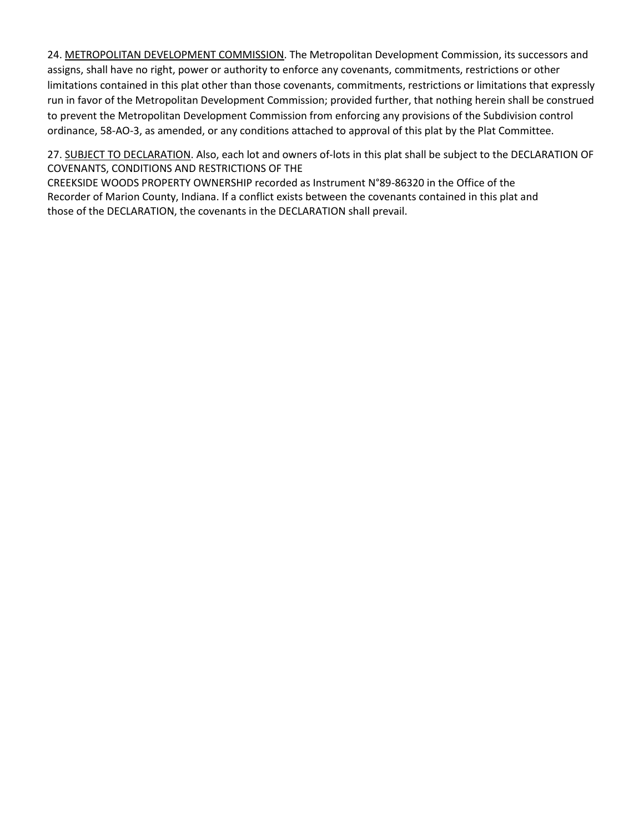24. METROPOLITAN DEVELOPMENT COMMISSION. The Metropolitan Development Commission, its successors and assigns, shall have no right, power or authority to enforce any covenants, commitments, restrictions or other limitations contained in this plat other than those covenants, commitments, restrictions or limitations that expressly run in favor of the Metropolitan Development Commission; provided further, that nothing herein shall be construed to prevent the Metropolitan Development Commission from enforcing any provisions of the Subdivision control ordinance, 58-AO-3, as amended, or any conditions attached to approval of this plat by the Plat Committee.

27. SUBJECT TO DECLARATION. Also, each lot and owners of-lots in this plat shall be subject to the DECLARATION OF COVENANTS, CONDITIONS AND RESTRICTIONS OF THE

CREEKSIDE WOODS PROPERTY OWNERSHIP recorded as Instrument N°89-86320 in the Office of the Recorder of Marion County, Indiana. If a conflict exists between the covenants contained in this plat and those of the DECLARATION, the covenants in the DECLARATION shall prevail.